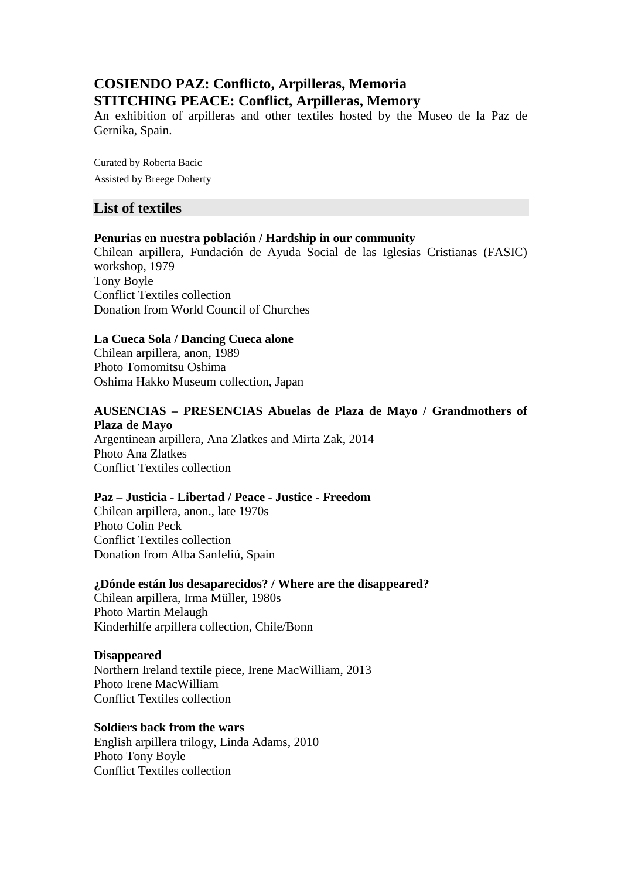# **COSIENDO PAZ: Conflicto, Arpilleras, Memoria STITCHING PEACE: Conflict, Arpilleras, Memory**

An exhibition of arpilleras and other textiles hosted by the Museo de la Paz de Gernika, Spain.

Curated by Roberta Bacic Assisted by Breege Doherty

# **List of textiles**

# **Penurias en nuestra población / Hardship in our community**

Chilean arpillera, Fundación de Ayuda Social de las Iglesias Cristianas (FASIC) workshop, 1979 Tony Boyle Conflict Textiles collection Donation from World Council of Churches

### **La Cueca Sola / Dancing Cueca alone**

Chilean arpillera, anon, 1989 Photo Tomomitsu Oshima Oshima Hakko Museum collection, Japan

# **AUSENCIAS – PRESENCIAS Abuelas de Plaza de Mayo / Grandmothers of Plaza de Mayo**

Argentinean arpillera, Ana Zlatkes and Mirta Zak, 2014 Photo Ana Zlatkes Conflict Textiles collection

# **Paz – Justicia - Libertad / Peace - Justice - Freedom**

Chilean arpillera, anon., late 1970s Photo Colin Peck Conflict Textiles collection Donation from Alba Sanfeliú, Spain

### **¿Dónde están los desaparecidos? / Where are the disappeared?**

Chilean arpillera, Irma Müller, 1980s Photo Martin Melaugh Kinderhilfe arpillera collection, Chile/Bonn

### **Disappeared**

Northern Ireland textile piece, Irene MacWilliam, 2013 Photo Irene MacWilliam Conflict Textiles collection

### **Soldiers back from the wars**

English arpillera trilogy, Linda Adams, 2010 Photo Tony Boyle Conflict Textiles collection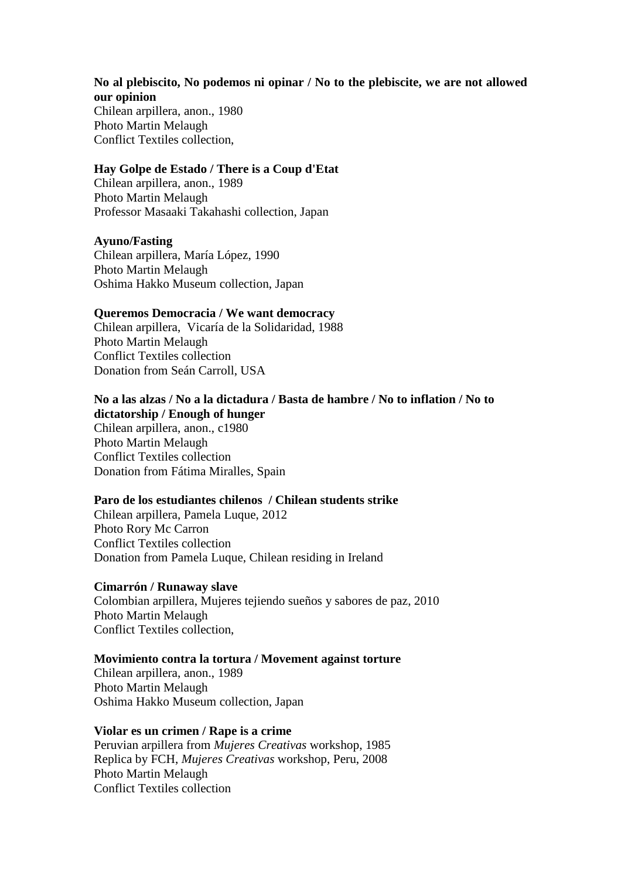### **No al plebiscito, No podemos ni opinar / No to the plebiscite, we are not allowed our opinion**

Chilean arpillera, anon., 1980 Photo Martin Melaugh Conflict Textiles collection,

### **Hay Golpe de Estado / There is a Coup d'Etat**

Chilean arpillera, anon., 1989 Photo Martin Melaugh Professor Masaaki Takahashi collection, Japan

#### **Ayuno/Fasting**

Chilean arpillera, María López, 1990 Photo Martin Melaugh Oshima Hakko Museum collection, Japan

#### **Queremos Democracia / We want democracy**

Chilean arpillera, Vicaría de la Solidaridad, 1988 Photo Martin Melaugh Conflict Textiles collection Donation from Seán Carroll, USA

# **No a las alzas / No a la dictadura / Basta de hambre / No to inflation / No to dictatorship / Enough of hunger**

Chilean arpillera, anon., c1980 Photo Martin Melaugh Conflict Textiles collection Donation from Fátima Miralles, Spain

### **Paro de los estudiantes chilenos / Chilean students strike**

Chilean arpillera, Pamela Luque, 2012 Photo Rory Mc Carron Conflict Textiles collection Donation from Pamela Luque, Chilean residing in Ireland

#### **Cimarrón / Runaway slave**

Colombian arpillera, Mujeres tejiendo sueños y sabores de paz, 2010 Photo Martin Melaugh Conflict Textiles collection,

### **Movimiento contra la tortura / Movement against torture**

Chilean arpillera, anon., 1989 Photo Martin Melaugh Oshima Hakko Museum collection, Japan

#### **Violar es un crimen / Rape is a crime**

Peruvian arpillera from *Mujeres Creativas* workshop, 1985 Replica by FCH, *Mujeres Creativas* workshop, Peru, 2008 Photo Martin Melaugh Conflict Textiles collection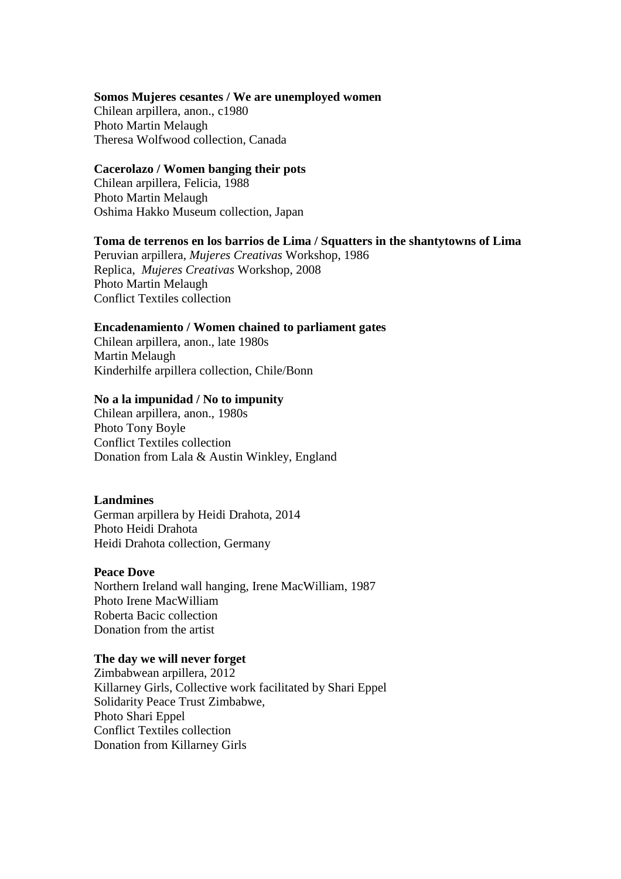#### **Somos Mujeres cesantes / We are unemployed women**

Chilean arpillera, anon., c1980 Photo Martin Melaugh Theresa Wolfwood collection, Canada

#### **Cacerolazo / Women banging their pots**

Chilean arpillera, Felicia, 1988 Photo Martin Melaugh Oshima Hakko Museum collection, Japan

#### **Toma de terrenos en los barrios de Lima / Squatters in the shantytowns of Lima**

Peruvian arpillera, *Mujeres Creativas* Workshop, 1986 Replica, *Mujeres Creativas* Workshop, 2008 Photo Martin Melaugh Conflict Textiles collection

#### **Encadenamiento / Women chained to parliament gates**

Chilean arpillera, anon., late 1980s Martin Melaugh Kinderhilfe arpillera collection, Chile/Bonn

#### **No a la impunidad / No to impunity**

Chilean arpillera, anon., 1980s Photo Tony Boyle Conflict Textiles collection Donation from Lala & Austin Winkley, England

#### **Landmines**

German arpillera by Heidi Drahota, 2014 Photo Heidi Drahota Heidi Drahota collection, Germany

#### **Peace Dove**

Northern Ireland wall hanging, Irene MacWilliam, 1987 Photo Irene MacWilliam Roberta Bacic collection Donation from the artist

# **The day we will never forget**

Zimbabwean arpillera, 2012 Killarney Girls, Collective work facilitated by Shari Eppel Solidarity Peace Trust Zimbabwe, Photo Shari Eppel Conflict Textiles collection Donation from Killarney Girls